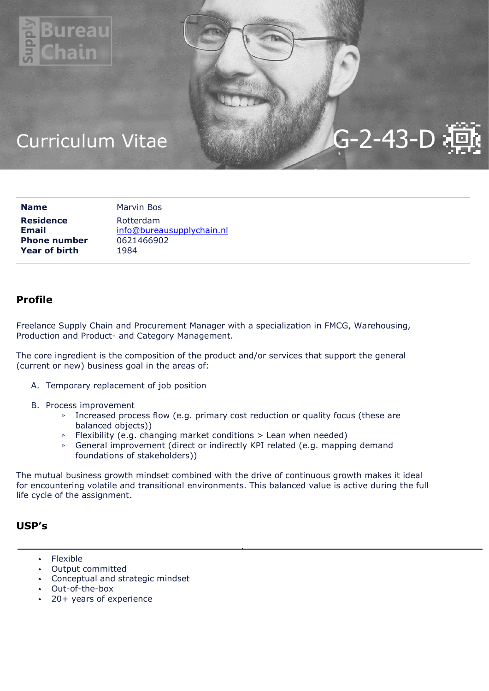

# $G-2-43-D$

## Curriculum Vitae

| <b>Name</b>          | Marvin Bos                |
|----------------------|---------------------------|
| <b>Residence</b>     | Rotterdam                 |
| <b>Email</b>         | info@bureausupplychain.nl |
| <b>Phone number</b>  | 0621466902                |
| <b>Year of birth</b> | 1984                      |

## Profile

Freelance Supply Chain and Procurement Manager with a specialization in FMCG, Warehousing, Production and Product- and Category Management.

The core ingredient is the composition of the product and/or services that support the general (current or new) business goal in the areas of:

- A. Temporary replacement of job position
- B. Process improvement
	- ▹ Increased process flow (e.g. primary cost reduction or quality focus (these are balanced objects))
	- ▹ Flexibility (e.g. changing market conditions > Lean when needed)
	- ▹ General improvement (direct or indirectly KPI related (e.g. mapping demand foundations of stakeholders))

The mutual business growth mindset combined with the drive of continuous growth makes it ideal for encountering volatile and transitional environments. This balanced value is active during the full life cycle of the assignment.

## USP's

- ▴ Flexible
- ▴ Output committed
- ▴ Conceptual and strategic mindset
- ▴ Out-of-the-box
- 20+ years of experience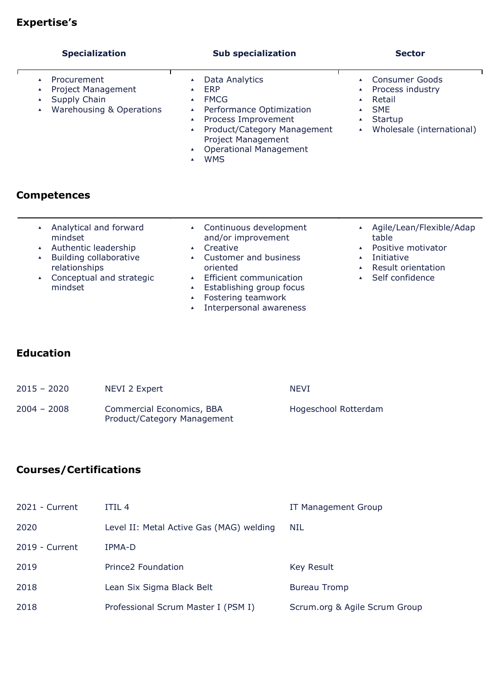## Expertise's

| <b>Specialization</b>                                                                                                        | <b>Sub specialization</b>                                                                                                                                               | <b>Sector</b>                                                                                             |
|------------------------------------------------------------------------------------------------------------------------------|-------------------------------------------------------------------------------------------------------------------------------------------------------------------------|-----------------------------------------------------------------------------------------------------------|
| Procurement<br><b>Project Management</b><br>$\blacktriangle$<br>Supply Chain<br>$\blacktriangle$<br>Warehousing & Operations | Data Analytics<br>ERP<br><b>FMCG</b><br>Performance Optimization<br>Process Improvement<br>Product/Category Management<br>$\blacktriangle$<br><b>Project Management</b> | <b>Consumer Goods</b><br>Process industry<br>Retail<br><b>SME</b><br>Startup<br>Wholesale (international) |

▴ Operational Management

- Competences
	- ▴ Analytical and forward mindset
	- ▴ Authentic leadership
	- ▴ Building collaborative relationships
	- ▴ Conceptual and strategic mindset
- ▴ Continuous development and/or improvement
- ▴ Creative

▴ WMS

- ▴ Customer and business oriented
- ▴ Efficient communication
- ▴ Establishing group focus
- ▴ Fostering teamwork
- ▴ Interpersonal awareness
- ▴ Agile/Lean/Flexible/Adap table
- ▴ Positive motivator
- ▴ Initiative
- ▴ Result orientation
- ▴ Self confidence

## Education

| $2015 - 2020$ | NEVI 2 Expert                                            | <b>NFVT</b>          |
|---------------|----------------------------------------------------------|----------------------|
| $2004 - 2008$ | Commercial Economics, BBA<br>Product/Category Management | Hogeschool Rotterdam |

## Courses/Certifications

| 2021 - Current | ITIL <sub>4</sub>                        | IT Management Group           |
|----------------|------------------------------------------|-------------------------------|
| 2020           | Level II: Metal Active Gas (MAG) welding | NIL                           |
| 2019 - Current | IPMA-D                                   |                               |
| 2019           | Prince <sub>2</sub> Foundation           | Key Result                    |
| 2018           | Lean Six Sigma Black Belt                | <b>Bureau Tromp</b>           |
| 2018           | Professional Scrum Master I (PSM I)      | Scrum.org & Agile Scrum Group |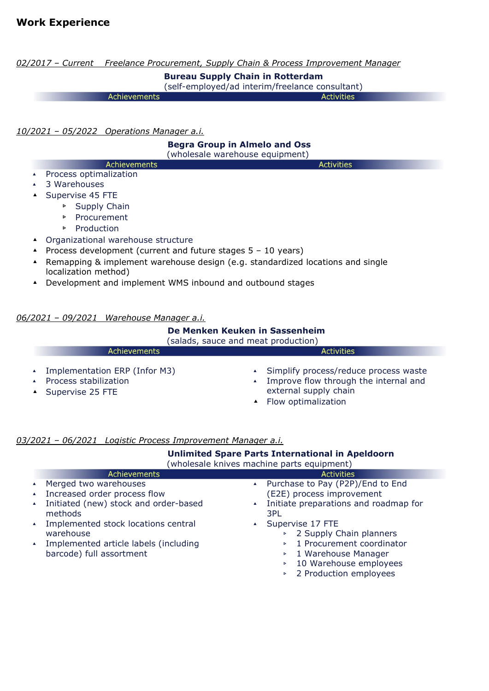02/2017 - Current Freelance Procurement, Supply Chain & Process Improvement Manager Bureau Supply Chain in Rotterdam

(self-employed/ad interim/freelance consultant)

**Activities** Achievements

10/2021 – 05/2022 Operations Manager a.i.

## Begra Group in Almelo and Oss

**Activities** 

(wholesale warehouse equipment)

- Achievements ▴ Process optimalization
- ▴ 3 Warehouses
- ▴ Supervise 45 FTE
	- ▹ Supply Chain
	- ▹ Procurement
	- ▹ Production
- ▴ Organizational warehouse structure
- ▴ Process development (current and future stages 5 10 years)
- ▴ Remapping & implement warehouse design (e.g. standardized locations and single localization method)
- ▴ Development and implement WMS inbound and outbound stages

## 06/2021 – 09/2021 Warehouse Manager a.i.

## De Menken Keuken in Sassenheim

| (salads, sauce and meat production)                                                      |                                                                                                                                    |  |
|------------------------------------------------------------------------------------------|------------------------------------------------------------------------------------------------------------------------------------|--|
| Achievements                                                                             | <b>Activities</b>                                                                                                                  |  |
| ▲ Implementation ERP (Infor M3)<br>Process stabilization<br>$\triangle$ Supervise 25 FTE | • Simplify process/reduce process waste<br>Improve flow through the internal and<br>external supply chain<br>▲ Flow optimalization |  |

## 03/2021 – 06/2021 Logistic Process Improvement Manager a.i.

|                                                                                                                                                               | (wholesale knives machine parts equipment) |                  |                  | <b>Unlimited Spare Parts International in Apeldoorn</b>                                                                                                     |
|---------------------------------------------------------------------------------------------------------------------------------------------------------------|--------------------------------------------|------------------|------------------|-------------------------------------------------------------------------------------------------------------------------------------------------------------|
| Achievements                                                                                                                                                  |                                            |                  |                  | <b>Activities</b>                                                                                                                                           |
| Merged two warehouses<br>$\blacktriangle$                                                                                                                     |                                            |                  |                  | ▲ Purchase to Pay (P2P)/End to End                                                                                                                          |
| Increased order process flow<br>$\blacktriangle$                                                                                                              |                                            |                  |                  | (E2E) process improvement                                                                                                                                   |
| Initiated (new) stock and order-based<br>$\blacktriangle$<br>methods                                                                                          |                                            | $\blacktriangle$ | 3PL              | Initiate preparations and roadmap for                                                                                                                       |
| Implemented stock locations central<br>$\blacktriangle$<br>warehouse<br>Implemented article labels (including<br>$\blacktriangle$<br>barcode) full assortment |                                            |                  | $\triangleright$ | Supervise 17 FTE<br>▶ 2 Supply Chain planners<br>1 Procurement coordinator<br>▶ 1 Warehouse Manager<br>▶ 10 Warehouse employees<br>▶ 2 Production employees |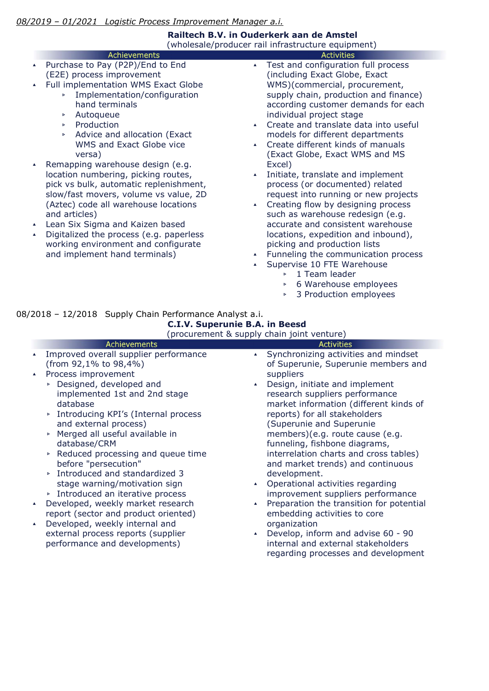## Railtech B.V. in Ouderkerk aan de Amstel

(wholesale/producer rail infrastructure equipment) **Activities** 

- Achievements Purchase to Pay (P2P)/End to End (E2E) process improvement
- Full implementation WMS Exact Globe
	- ▹ Implementation/configuration hand terminals
		- ▹ Autoqueue
		- ▹ Production
		- ▹ Advice and allocation (Exact WMS and Exact Globe vice versa)
- ▴ Remapping warehouse design (e.g. location numbering, picking routes, pick vs bulk, automatic replenishment, slow/fast movers, volume vs value, 2D (Aztec) code all warehouse locations and articles)
- ▴ Lean Six Sigma and Kaizen based
- Digitalized the process (e.g. paperless working environment and configurate and implement hand terminals)
- ▴ Test and configuration full process (including Exact Globe, Exact WMS)(commercial, procurement, supply chain, production and finance) according customer demands for each individual project stage
- ▴ Create and translate data into useful models for different departments
- ▴ Create different kinds of manuals (Exact Globe, Exact WMS and MS Excel)
- ▴ Initiate, translate and implement process (or documented) related request into running or new projects
- ▴ Creating flow by designing process such as warehouse redesign (e.g. accurate and consistent warehouse locations, expedition and inbound), picking and production lists
- Funneling the communication process
- Supervise 10 FTE Warehouse
	- ▹ 1 Team leader
	- ▹ 6 Warehouse employees
	- ▹ 3 Production employees

## 08/2018 – 12/2018 Supply Chain Performance Analyst a.i.

 C.I.V. Superunie B.A. in Beesd  $(nrocuromont & cunply chain joint vonturce)$ 

|                  | (procurement & supply chain joint venture)                                                                                                                                                                                                                                                                                                                |                                                                                                                                                                                                                                                                                                                                                                                                                                     |  |  |
|------------------|-----------------------------------------------------------------------------------------------------------------------------------------------------------------------------------------------------------------------------------------------------------------------------------------------------------------------------------------------------------|-------------------------------------------------------------------------------------------------------------------------------------------------------------------------------------------------------------------------------------------------------------------------------------------------------------------------------------------------------------------------------------------------------------------------------------|--|--|
|                  | Achievements                                                                                                                                                                                                                                                                                                                                              | <b>Activities</b>                                                                                                                                                                                                                                                                                                                                                                                                                   |  |  |
| $\blacktriangle$ | Improved overall supplier performance<br>(from 92,1% to 98,4%)                                                                                                                                                                                                                                                                                            | Synchronizing activities and mindset<br>$\blacktriangle$<br>of Superunie, Superunie members and                                                                                                                                                                                                                                                                                                                                     |  |  |
|                  | Process improvement<br>▶ Designed, developed and<br>implemented 1st and 2nd stage<br>database<br>▶ Introducing KPI's (Internal process<br>and external process)<br>Merged all useful available in<br>Þ<br>database/CRM<br>▶ Reduced processing and queue time<br>before "persecution"<br>▶ Introduced and standardized 3<br>stage warning/motivation sign | suppliers<br>Design, initiate and implement<br>$\blacktriangle$<br>research suppliers performance<br>market information (different kinds of<br>reports) for all stakeholders<br>(Superunie and Superunie<br>members)(e.g. route cause (e.g.<br>funneling, fishbone diagrams,<br>interrelation charts and cross tables)<br>and market trends) and continuous<br>development.<br>Operational activities regarding<br>$\blacktriangle$ |  |  |
|                  | ▶ Introduced an iterative process                                                                                                                                                                                                                                                                                                                         | improvement suppliers performance                                                                                                                                                                                                                                                                                                                                                                                                   |  |  |
|                  | Developed, weekly market research<br>report (sector and product oriented)<br>Developed, weekly internal and                                                                                                                                                                                                                                               | Preparation the transition for potential<br>$\blacktriangle$<br>embedding activities to core<br>organization                                                                                                                                                                                                                                                                                                                        |  |  |
|                  | external process reports (supplier<br>performance and developments)                                                                                                                                                                                                                                                                                       | Develop, inform and advise 60 - 90<br>$\blacktriangle$<br>internal and external stakeholders<br>regarding processes and development                                                                                                                                                                                                                                                                                                 |  |  |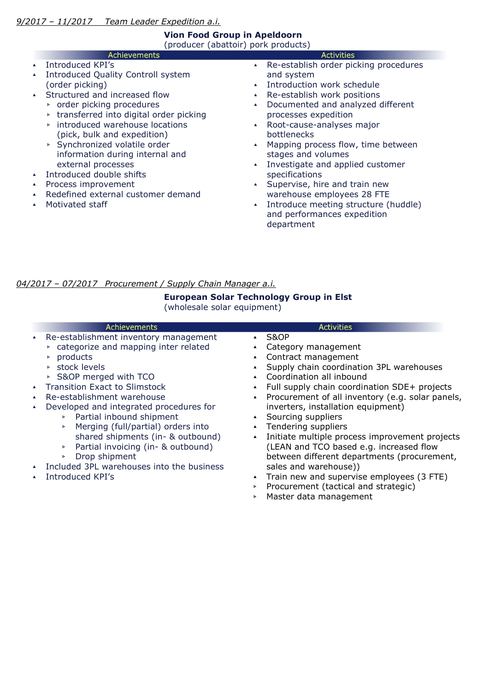## Vion Food Group in Apeldoorn

(producer (abattoir) pork products)

- Achievements ▴ Introduced KPI's
- ▴ Introduced Quality Controll system (order picking)
- ▴ Structured and increased flow
	- ▹ order picking procedures
	- ▹ transferred into digital order picking
	- ▹ introduced warehouse locations (pick, bulk and expedition)
	- ▹ Synchronized volatile order information during internal and external processes
- ▴ Introduced double shifts
- ▴ Process improvement
- ▴ Redefined external customer demand
- ▴ Motivated staff

### **Activities**

- ▴ Re-establish order picking procedures and system
- ▴ Introduction work schedule
- ▴ Re-establish work positions
- ▴ Documented and analyzed different processes expedition
- ▴ Root-cause-analyses major bottlenecks
- ▴ Mapping process flow, time between stages and volumes
- ▴ Investigate and applied customer specifications
- ▴ Supervise, hire and train new warehouse employees 28 FTE
- ▴ Introduce meeting structure (huddle) and performances expedition department

## 04/2017 – 07/2017 Procurement / Supply Chain Manager a.i.

## European Solar Technology Group in Elst

(wholesale solar equipment)

| <b>Achievements</b>                                                                                                                                                                                                                                                                                                                                                                                                                                                                                                                                             | Activities                                                                                                                                                                                                                                                                                                                                                                                                                                                                                                                                                                                                                                      |
|-----------------------------------------------------------------------------------------------------------------------------------------------------------------------------------------------------------------------------------------------------------------------------------------------------------------------------------------------------------------------------------------------------------------------------------------------------------------------------------------------------------------------------------------------------------------|-------------------------------------------------------------------------------------------------------------------------------------------------------------------------------------------------------------------------------------------------------------------------------------------------------------------------------------------------------------------------------------------------------------------------------------------------------------------------------------------------------------------------------------------------------------------------------------------------------------------------------------------------|
| Re-establishment inventory management<br>* categorize and mapping inter related<br>products<br>$\triangleright$ stock levels<br>▶ S&OP merged with TCO<br><b>Transition Exact to Slimstock</b><br>Re-establishment warehouse<br>Developed and integrated procedures for<br>▶ Partial inbound shipment<br>Merging (full/partial) orders into<br>$\blacktriangleright$<br>shared shipments (in- & outbound)<br>Partial invoicing (in- & outbound)<br>Þ<br>Drop shipment<br>$\blacktriangleright$<br>Included 3PL warehouses into the business<br>Introduced KPI's | S&OP<br>Category management<br>▲ Contract management<br>Supply chain coordination 3PL warehouses<br>Coordination all inbound<br>Full supply chain coordination SDE+ projects<br>Procurement of all inventory (e.g. solar panels,<br>inverters, installation equipment)<br>Sourcing suppliers<br>Tendering suppliers<br>$\blacktriangle$<br>Initiate multiple process improvement projects<br>$\blacktriangle$<br>(LEAN and TCO based e.g. increased flow<br>between different departments (procurement,<br>sales and warehouse))<br>Train new and supervise employees (3 FTE)<br>Procurement (tactical and strategic)<br>Master data management |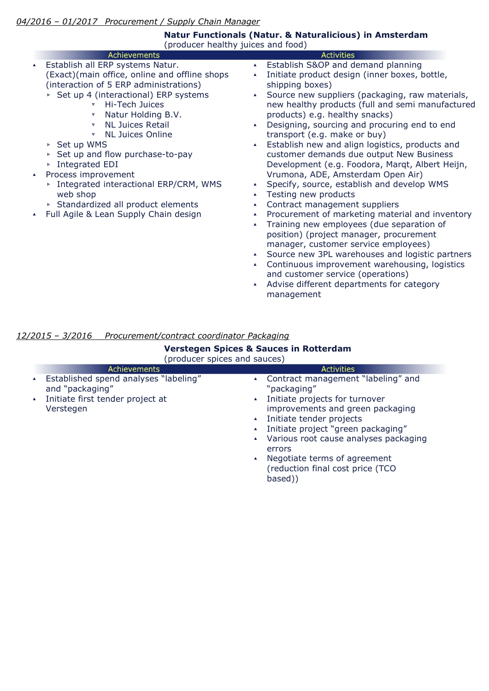| Achievements<br><b>Activities</b><br>Establish S&OP and demand planning<br>Establish all ERP systems Natur.<br>$\blacktriangle$<br>$\blacktriangle$<br>(Exact)(main office, online and offline shops<br>Initiate product design (inner boxes, bottle,<br>$\blacktriangle$<br>(interaction of 5 ERP administrations)<br>shipping boxes)<br>▶ Set up 4 (interactional) ERP systems<br>$\blacktriangle$<br>Hi-Tech Juices<br>$\overline{\mathbf{v}}$<br>products) e.g. healthy snacks)<br>Natur Holding B.V.<br>$\boldsymbol{\nabla}$<br><b>NL Juices Retail</b><br>$\boldsymbol{\nabla}$<br>$\blacktriangle$<br><b>NL Juices Online</b><br>transport (e.g. make or buy)<br>▼<br>▶ Set up WMS<br>$\blacktriangle$<br>customer demands due output New Business<br>► Set up and flow purchase-to-pay<br>▶ Integrated EDI<br>Process improvement<br>Vrumona, ADE, Amsterdam Open Air)<br>$\blacktriangle$<br>Specify, source, establish and develop WMS<br>▶ Integrated interactional ERP/CRM, WMS<br>$\blacktriangle$<br>web shop<br>Testing new products<br>$\blacktriangle$<br>> Standardized all product elements<br>Contract management suppliers<br>$\blacktriangle$<br>Full Agile & Lean Supply Chain design<br>$\blacktriangle$<br>$\blacktriangle$<br>Training new employees (due separation of<br>$\blacktriangle$ | (producer healthy juices and food) | Natur Functionals (Natur. & Naturalicious) in Amsterdam                                                                                                                                                                                                                                                                                                                                                                                                       |
|------------------------------------------------------------------------------------------------------------------------------------------------------------------------------------------------------------------------------------------------------------------------------------------------------------------------------------------------------------------------------------------------------------------------------------------------------------------------------------------------------------------------------------------------------------------------------------------------------------------------------------------------------------------------------------------------------------------------------------------------------------------------------------------------------------------------------------------------------------------------------------------------------------------------------------------------------------------------------------------------------------------------------------------------------------------------------------------------------------------------------------------------------------------------------------------------------------------------------------------------------------------------------------------------------------------------|------------------------------------|---------------------------------------------------------------------------------------------------------------------------------------------------------------------------------------------------------------------------------------------------------------------------------------------------------------------------------------------------------------------------------------------------------------------------------------------------------------|
|                                                                                                                                                                                                                                                                                                                                                                                                                                                                                                                                                                                                                                                                                                                                                                                                                                                                                                                                                                                                                                                                                                                                                                                                                                                                                                                        |                                    |                                                                                                                                                                                                                                                                                                                                                                                                                                                               |
| manager, customer service employees)<br>$\blacktriangle$                                                                                                                                                                                                                                                                                                                                                                                                                                                                                                                                                                                                                                                                                                                                                                                                                                                                                                                                                                                                                                                                                                                                                                                                                                                               |                                    | Source new suppliers (packaging, raw materials,<br>new healthy products (full and semi manufactured<br>Designing, sourcing and procuring end to end<br>Establish new and align logistics, products and<br>Development (e.g. Foodora, Margt, Albert Heijn,<br>Procurement of marketing material and inventory<br>position) (project manager, procurement<br>• Source new 3PL warehouses and logistic partners<br>Continuous improvement warehousing, logistics |

▴ Advise different departments for category management

## 12/2015 – 3/2016 Procurement/contract coordinator Packaging

| <b>Verstegen Spices &amp; Sauces in Rotterdam</b><br>(producer spices and sauces)                                                                 |                                                                                                                                                                                                                                                                                                                                                                                                               |  |  |
|---------------------------------------------------------------------------------------------------------------------------------------------------|---------------------------------------------------------------------------------------------------------------------------------------------------------------------------------------------------------------------------------------------------------------------------------------------------------------------------------------------------------------------------------------------------------------|--|--|
| Achievements                                                                                                                                      | <b>Activities</b>                                                                                                                                                                                                                                                                                                                                                                                             |  |  |
| Established spend analyses "labeling"<br>$\blacktriangle$<br>and "packaging"<br>Initiate first tender project at<br>$\blacktriangle$<br>Verstegen | ▲ Contract management "labeling" and<br>"packaging"<br>Initiate projects for turnover<br>$\blacktriangle$<br>improvements and green packaging<br>Initiate tender projects<br>$\blacktriangle$<br>Initiate project "green packaging"<br>Various root cause analyses packaging<br>$\blacktriangle$<br>errors<br>Negotiate terms of agreement<br>$\blacktriangle$<br>(reduction final cost price (TCO<br>based)) |  |  |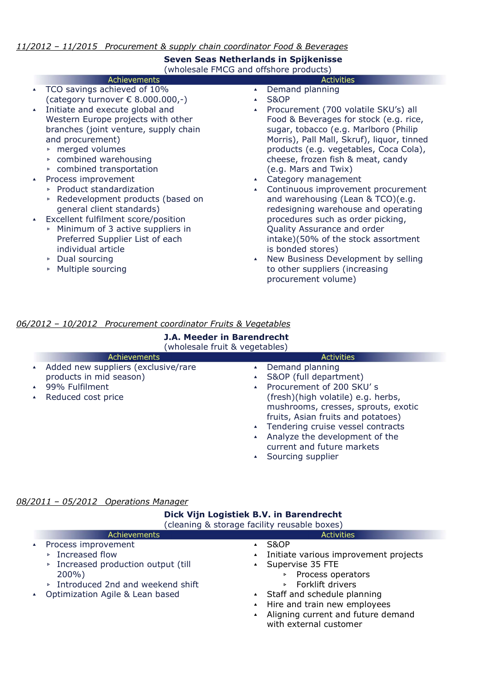## 11/2012 – 11/2015 Procurement & supply chain coordinator Food & Beverages

## Seven Seas Netherlands in Spijkenisse (wholesale FMCG and offshore products)

|                  | <b>Achievements</b>                        | <b>Activities</b>                          |
|------------------|--------------------------------------------|--------------------------------------------|
| $\blacktriangle$ | TCO savings achieved of 10%                | Demand planning                            |
|                  | (category turnover $\epsilon$ 8.000.000,-) | S&OP                                       |
| $\blacktriangle$ | Initiate and execute global and            | Procurement (700 volatile SKU's) all       |
|                  | Western Europe projects with other         | Food & Beverages for stock (e.g. rice,     |
|                  | branches (joint venture, supply chain      | sugar, tobacco (e.g. Marlboro (Philip      |
|                  | and procurement)                           | Morris), Pall Mall, Skruf), liquor, tinned |
|                  | ▶ merged volumes                           | products (e.g. vegetables, Coca Cola),     |
|                  | ▶ combined warehousing                     | cheese, frozen fish & meat, candy          |
|                  | ▶ combined transportation                  | (e.g. Mars and Twix)                       |
| $\blacktriangle$ | Process improvement                        | Category management                        |
|                  | ▶ Product standardization                  | Continuous improvement procurement         |
|                  | ▶ Redevelopment products (based on         | and warehousing (Lean & TCO)(e.g.          |
|                  | general client standards)                  | redesigning warehouse and operating        |
| $\blacktriangle$ | Excellent fulfilment score/position        | procedures such as order picking,          |
|                  | • Minimum of 3 active suppliers in         | Quality Assurance and order                |
|                  | Preferred Supplier List of each            | intake)(50% of the stock assortment        |
|                  | individual article                         | is bonded stores)                          |
|                  | $\triangleright$ Dual sourcing             | New Business Development by selling        |

▹ Multiple sourcing

▴ New Business Development by selling to other suppliers (increasing procurement volume)

## 06/2012 – 10/2012 Procurement coordinator Fruits & Vegetables

| <b>J.A. Meeder in Barendrecht</b><br>(wholesale fruit & vegetables)                                    |                                                                                                                                                                                                                                                                                                                                                                                                                          |  |  |
|--------------------------------------------------------------------------------------------------------|--------------------------------------------------------------------------------------------------------------------------------------------------------------------------------------------------------------------------------------------------------------------------------------------------------------------------------------------------------------------------------------------------------------------------|--|--|
| Achievements                                                                                           | <b>Activities</b>                                                                                                                                                                                                                                                                                                                                                                                                        |  |  |
| Added new suppliers (exclusive/rare<br>products in mid season)<br>99% Fulfilment<br>Reduced cost price | Demand planning<br>$\blacktriangle$<br>S&OP (full department)<br>$\blacktriangle$<br>Procurement of 200 SKU's<br>$\blacktriangle$<br>(fresh)(high volatile) e.g. herbs,<br>mushrooms, cresses, sprouts, exotic<br>fruits, Asian fruits and potatoes)<br>▲ Tendering cruise vessel contracts<br>Analyze the development of the<br>$\blacktriangle$<br>current and future markets<br>Sourcing supplier<br>$\blacktriangle$ |  |  |

## 08/2011 – 05/2012 Operations Manager

| Dick Vijn Logistiek B.V. in Barendrecht<br>(cleaning & storage facility reusable boxes)     |                                                                                                                                                                      |
|---------------------------------------------------------------------------------------------|----------------------------------------------------------------------------------------------------------------------------------------------------------------------|
| <b>Achievements</b>                                                                         | <b>Activities</b>                                                                                                                                                    |
| Process improvement<br>▶ Increased flow<br>▶ Increased production output (till<br>$200\%$ ) | S&OP<br>$\blacktriangle$<br>Initiate various improvement projects<br>▲ Supervise 35 FTE<br>Process operators                                                         |
| ▶ Introduced 2nd and weekend shift<br>Optimization Agile & Lean based                       | $\triangleright$ Forklift drivers<br>▲ Staff and schedule planning<br>▲ Hire and train new employees<br>Aligning current and future demand<br>with external customer |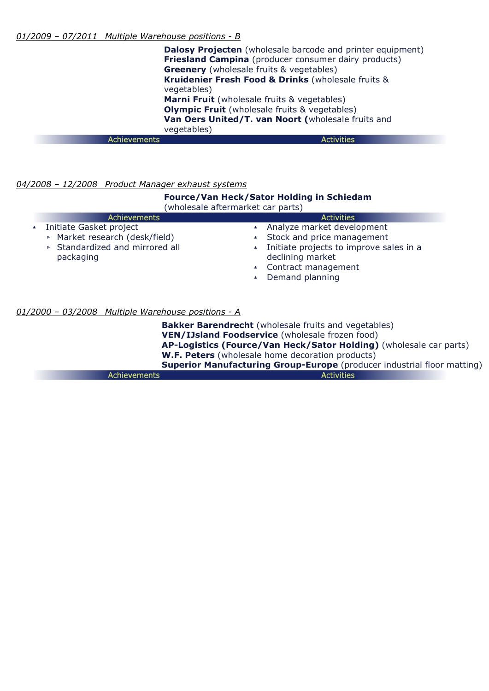Dalosy Projecten (wholesale barcode and printer equipment) **Friesland Campina** (producer consumer dairy products) **Greenery** (wholesale fruits & vegetables) Kruidenier Fresh Food & Drinks (wholesale fruits & vegetables) Marni Fruit (wholesale fruits & vegetables) **Olympic Fruit** (wholesale fruits & vegetables) Van Oers United/T. van Noort (wholesale fruits and vegetables) Achievements **Activities** 

## 04/2008 - 12/2008 Product Manager exhaust systems

#### Fource/Van Heck/Sator Holding in Schiedam (wholesale aftermarket car parts) **Achievements Activities** ▴ Initiate Gasket project ▴ Analyze market development ▹ Market research (desk/field) ▴ Stock and price management ▹ Standardized and mirrored all ▴ Initiate projects to improve sales in a packaging declining market ▴ Contract management ▴ Demand planning

## 01/2000 – 03/2008 Multiple Warehouse positions - A

**Bakker Barendrecht** (wholesale fruits and vegetables) VEN/IJsland Foodservice (wholesale frozen food) AP-Logistics (Fource/Van Heck/Sator Holding) (wholesale car parts) W.F. Peters (wholesale home decoration products) Superior Manufacturing Group-Europe (producer industrial floor matting) **Activities** Achievements